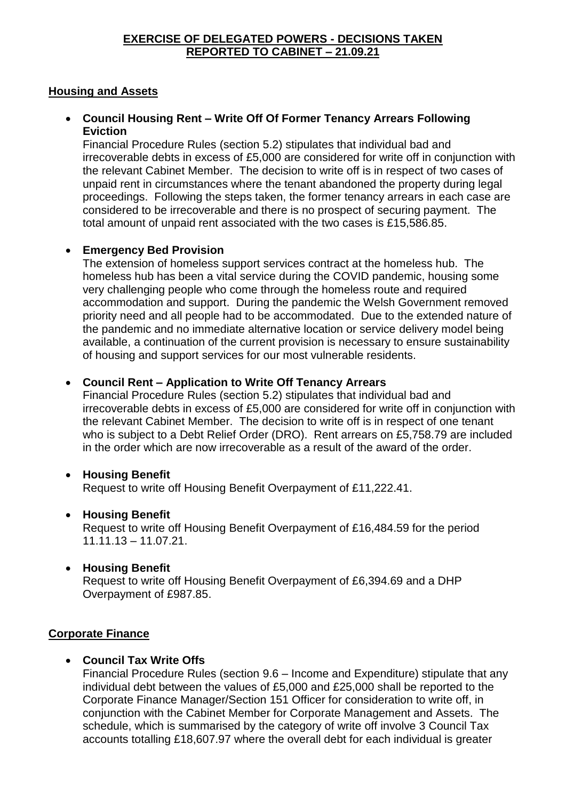#### **EXERCISE OF DELEGATED POWERS - DECISIONS TAKEN REPORTED TO CABINET – 21.09.21**

## **Housing and Assets**

## **Council Housing Rent – Write Off Of Former Tenancy Arrears Following Eviction**

Financial Procedure Rules (section 5.2) stipulates that individual bad and irrecoverable debts in excess of £5,000 are considered for write off in conjunction with the relevant Cabinet Member. The decision to write off is in respect of two cases of unpaid rent in circumstances where the tenant abandoned the property during legal proceedings. Following the steps taken, the former tenancy arrears in each case are considered to be irrecoverable and there is no prospect of securing payment. The total amount of unpaid rent associated with the two cases is £15,586.85.

## **Emergency Bed Provision**

The extension of homeless support services contract at the homeless hub. The homeless hub has been a vital service during the COVID pandemic, housing some very challenging people who come through the homeless route and required accommodation and support. During the pandemic the Welsh Government removed priority need and all people had to be accommodated. Due to the extended nature of the pandemic and no immediate alternative location or service delivery model being available, a continuation of the current provision is necessary to ensure sustainability of housing and support services for our most vulnerable residents.

## **Council Rent – Application to Write Off Tenancy Arrears**

Financial Procedure Rules (section 5.2) stipulates that individual bad and irrecoverable debts in excess of £5,000 are considered for write off in conjunction with the relevant Cabinet Member. The decision to write off is in respect of one tenant who is subject to a Debt Relief Order (DRO). Rent arrears on £5,758.79 are included in the order which are now irrecoverable as a result of the award of the order.

#### **Housing Benefit**

Request to write off Housing Benefit Overpayment of £11,222.41.

#### **Housing Benefit**

Request to write off Housing Benefit Overpayment of £16,484.59 for the period 11.11.13 – 11.07.21.

#### **Housing Benefit**

Request to write off Housing Benefit Overpayment of £6,394.69 and a DHP Overpayment of £987.85.

#### **Corporate Finance**

#### **Council Tax Write Offs**

Financial Procedure Rules (section 9.6 – Income and Expenditure) stipulate that any individual debt between the values of £5,000 and £25,000 shall be reported to the Corporate Finance Manager/Section 151 Officer for consideration to write off, in conjunction with the Cabinet Member for Corporate Management and Assets. The schedule, which is summarised by the category of write off involve 3 Council Tax accounts totalling £18,607.97 where the overall debt for each individual is greater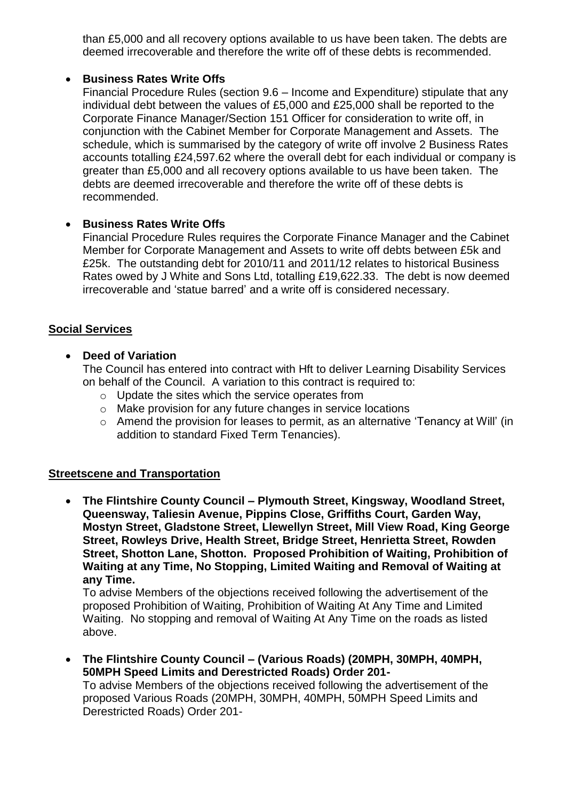than £5,000 and all recovery options available to us have been taken. The debts are deemed irrecoverable and therefore the write off of these debts is recommended.

## **Business Rates Write Offs**

Financial Procedure Rules (section 9.6 – Income and Expenditure) stipulate that any individual debt between the values of £5,000 and £25,000 shall be reported to the Corporate Finance Manager/Section 151 Officer for consideration to write off, in conjunction with the Cabinet Member for Corporate Management and Assets. The schedule, which is summarised by the category of write off involve 2 Business Rates accounts totalling £24,597.62 where the overall debt for each individual or company is greater than £5,000 and all recovery options available to us have been taken. The debts are deemed irrecoverable and therefore the write off of these debts is recommended.

## **Business Rates Write Offs**

Financial Procedure Rules requires the Corporate Finance Manager and the Cabinet Member for Corporate Management and Assets to write off debts between £5k and £25k. The outstanding debt for 2010/11 and 2011/12 relates to historical Business Rates owed by J White and Sons Ltd, totalling £19,622.33. The debt is now deemed irrecoverable and 'statue barred' and a write off is considered necessary.

## **Social Services**

## **Deed of Variation**

The Council has entered into contract with Hft to deliver Learning Disability Services on behalf of the Council. A variation to this contract is required to:

- o Update the sites which the service operates from
- o Make provision for any future changes in service locations
- o Amend the provision for leases to permit, as an alternative 'Tenancy at Will' (in addition to standard Fixed Term Tenancies).

## **Streetscene and Transportation**

 **The Flintshire County Council – Plymouth Street, Kingsway, Woodland Street, Queensway, Taliesin Avenue, Pippins Close, Griffiths Court, Garden Way, Mostyn Street, Gladstone Street, Llewellyn Street, Mill View Road, King George Street, Rowleys Drive, Health Street, Bridge Street, Henrietta Street, Rowden Street, Shotton Lane, Shotton. Proposed Prohibition of Waiting, Prohibition of Waiting at any Time, No Stopping, Limited Waiting and Removal of Waiting at any Time.**

To advise Members of the objections received following the advertisement of the proposed Prohibition of Waiting, Prohibition of Waiting At Any Time and Limited Waiting. No stopping and removal of Waiting At Any Time on the roads as listed above.

 **The Flintshire County Council – (Various Roads) (20MPH, 30MPH, 40MPH, 50MPH Speed Limits and Derestricted Roads) Order 201-**

To advise Members of the objections received following the advertisement of the proposed Various Roads (20MPH, 30MPH, 40MPH, 50MPH Speed Limits and Derestricted Roads) Order 201-